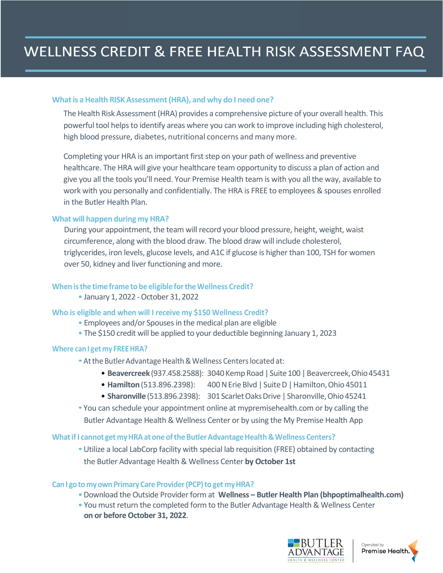#### **Whatis aHealth RISK Assessment(HRA), and why do I need one?**

The Health Risk Assessment (HRA) provides a comprehensive picture of your overall health. This powerful tool helps to identify areas where you can work to improve including high cholesterol, high blood pressure, diabetes, nutritional concerns and many more.

Completing your HRA is an important first step on your path of wellness and preventive healthcare. The HRA will give your healthcare team opportunity to discuss a plan of action and give you all the tools you'll need. Your Premise Health team is with you all the way, available to work with you personally and confidentially. The HRA is FREE to employees & spouses enrolled in the Butler Health Plan.

### **What will happen during myHRA?**

During your appointment, the team will record your blood pressure, height, weight, waist circumference, along with the blood draw. The blood draw will include cholesterol, triglycerides, iron levels, glucose levels, and A1C if glucose is higher than 100, TSH for women over 50, kidney and liver functioning and more.

### **When isthe time frame to be eligible fortheWellness Credit?**

• January 1, 2022 - October 31, 2022

### **Who is eligible and when will I receive my \$150 Wellness Credit?**

- Employees and/or Spouses in the medical plan are eligible
- The \$150 credit will be applied to your deductible beginning January 1, 2023

### **Where can I get my FREEHRA?**

- At the Butler Advantage Health & Wellness Centers located at:
	- Beavercreek (937.458.2588): 3040 Kemp Road | Suite 100 | Beavercreek, Ohio 45431
	- Hamilton (513.896.2398): 400 N Erie Blvd | Suite D | Hamilton, Ohio 45011
	- **Sharonville** (513.896.2398): 301 Scarlet Oaks Drive | Sharonville, Ohio 45241
- •You can schedule your appointment online at mypremisehealth.com or by calling the Butler Advantage Health & Wellness Center or by using the My Premise Health App

### **Whatif I cannot get myHRAat one oftheButlerAdvantageHealth&Wellness Centers?**

•Utilize a local LabCorp facility with special lab requisition (FREE) obtained by contacting the Butler Advantage Health & Wellness Center **by October 1st**

### **CanI gotomyownPrimaryCare Provider(PCP)to get myHRA?**

- •Download the Outside Provider form at **Wellness – [Butler Health Plan \(bhpoptimalhealth.com\)](http://www.bhpoptimalhealth.com/wellness/)**
- You must return the completed form to the Butler Advantage Health & Wellness Center **on or before October 31, 2022**.